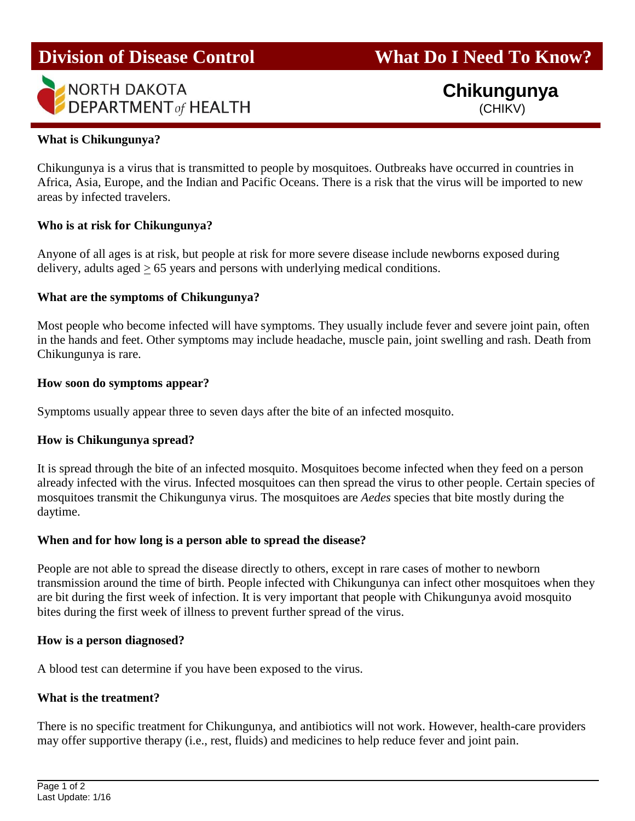# **Division of Disease Control What Do I Need To Know?**



## **Chikungunya** (CHIKV)

### **What is Chikungunya?**

Chikungunya is a virus that is transmitted to people by mosquitoes. Outbreaks have occurred in countries in Africa, Asia, Europe, and the Indian and Pacific Oceans. There is a risk that the virus will be imported to new areas by infected travelers.

#### **Who is at risk for Chikungunya?**

Anyone of all ages is at risk, but people at risk for more severe disease include newborns exposed during delivery, adults aged > 65 years and persons with underlying medical conditions.

#### **What are the symptoms of Chikungunya?**

Most people who become infected will have symptoms. They usually include fever and severe joint pain, often in the hands and feet. Other symptoms may include headache, muscle pain, joint swelling and rash. Death from Chikungunya is rare.

#### **How soon do symptoms appear?**

Symptoms usually appear three to seven days after the bite of an infected mosquito.

#### **How is Chikungunya spread?**

It is spread through the bite of an infected mosquito. Mosquitoes become infected when they feed on a person already infected with the virus. Infected mosquitoes can then spread the virus to other people. Certain species of mosquitoes transmit the Chikungunya virus. The mosquitoes are *Aedes* species that bite mostly during the daytime.

#### **When and for how long is a person able to spread the disease?**

People are not able to spread the disease directly to others, except in rare cases of mother to newborn transmission around the time of birth. People infected with Chikungunya can infect other mosquitoes when they are bit during the first week of infection. It is very important that people with Chikungunya avoid mosquito bites during the first week of illness to prevent further spread of the virus.

#### **How is a person diagnosed?**

A blood test can determine if you have been exposed to the virus.

#### **What is the treatment?**

There is no specific treatment for Chikungunya, and antibiotics will not work. However, health-care providers may offer supportive therapy (i.e., rest, fluids) and medicines to help reduce fever and joint pain.